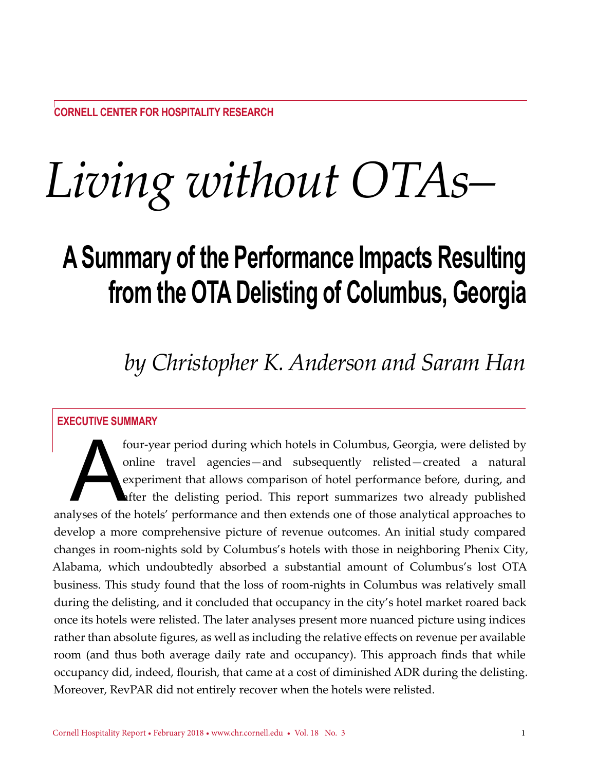# *Living without OTAs–*

# **A Summary of the Performance Impacts Resulting from the OTA Delisting of Columbus, Georgia**

## *by Christopher K. Anderson and Saram Han*

#### **Executive Summary**

four-year period during which hotels in Columbus, Georgia, were delisted by online travel agencies—and subsequently relisted—created a natural experiment that allows comparison of hotel performance before, during, and ofte online travel agencies—and subsequently relisted—created a natural experiment that allows comparison of hotel performance before, during, and after the delisting period. This report summarizes two already published analyses of the hotels' performance and then extends one of those analytical approaches to develop a more comprehensive picture of revenue outcomes. An initial study compared changes in room-nights sold by Columbus's hotels with those in neighboring Phenix City, Alabama, which undoubtedly absorbed a substantial amount of Columbus's lost OTA business. This study found that the loss of room-nights in Columbus was relatively small during the delisting, and it concluded that occupancy in the city's hotel market roared back once its hotels were relisted. The later analyses present more nuanced picture using indices rather than absolute figures, as well as including the relative effects on revenue per available room (and thus both average daily rate and occupancy). This approach finds that while occupancy did, indeed, flourish, that came at a cost of diminished ADR during the delisting. Moreover, RevPAR did not entirely recover when the hotels were relisted.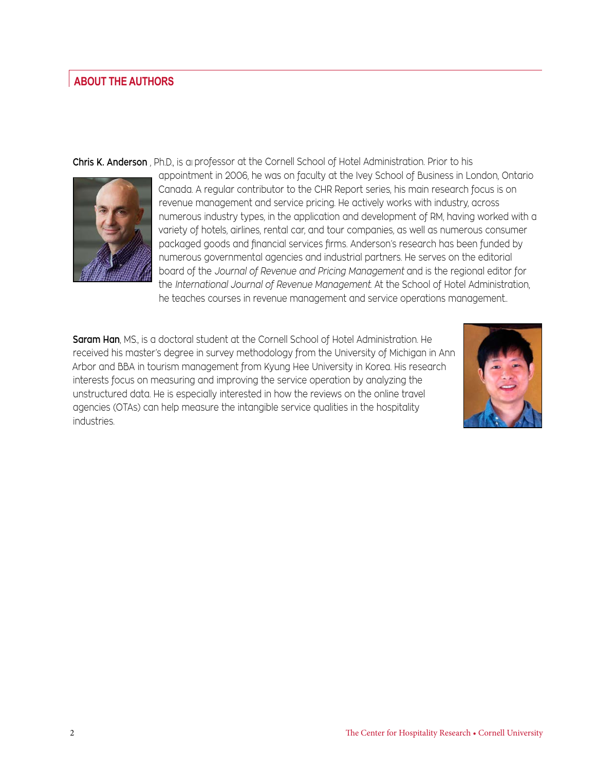#### **About the Authors**

**Chris K. Anderson** , Ph.D., is a professor at the Cornell School of Hotel Administration. Prior to his



appointment in 2006, he was on faculty at the Ivey School of Business in London, Ontario appointment in 2006, he was on faculty at the Ivey School of Business in London, Ontario Canada. A regular contributor to the CHR Report series, his main research focus is on Canada. A regular contributor to the CHR Report series, his main research focus is on revenue management and service pricing. He actively works with industry, across revenue management and service pricing. He actively works with industry, across numerous industry types, in the application and development of RM, having worked with a numerous industry types, in the application and development of RM, having worked with a  $\mathcal{V}_{\mathcal{M}}$   $\parallel$  variety of hotels, airlines, rental car, and tour companies, as well as numerous consumer packaged goods and financial services firms. Anderson's research has been funded by packaged goods and financial services firms. Anderson's research has been funded by numerous governmental agencies and industrial partners. He serves on the editorial numerous governmental agencies and industrial partners. He serves on the editorial board of the *Journal of Revenue and Pricing Management* and is the regional editor for board of the *Journal of Revenue and Pricing Management* and is the regional editor for the *International Journal of Revenue Management*. At the School of Hotel Administration, the *International Journal of Revenue Management*. At the School of Hotel Administration, he teaches courses in revenue management and service operations management.*.* he teaches courses in revenue management and service operations management.*.*

**Saram Han**, MS., is a doctoral student at the Cornell School of Hotel Administration. He **Saram Han**, MS., is a doctoral student at the Cornell School of Hotel Administration. He received his master's degree in survey methodology from the University of Michigan in Ann received his master's degree in survey methodology from the University of Michigan in Ann Arbor and BBA in tourism management from Kyung Hee University in Korea. His research Arbor and BBA in tourism management from Kyung Hee University in Korea. His research interests focus on measuring and improving the service operation by analyzing the interests focus on measuring and improving the service operation by analyzing the unstructured data. He is especially interested in how the reviews on the online travel unstructured data. He is especially interested in how the reviews on the online travel agencies (OTAs) can help measure the intangible service qualities in the hospitality agencies (OTAs) can help measure the intangible service qualities in the hospitality industries.

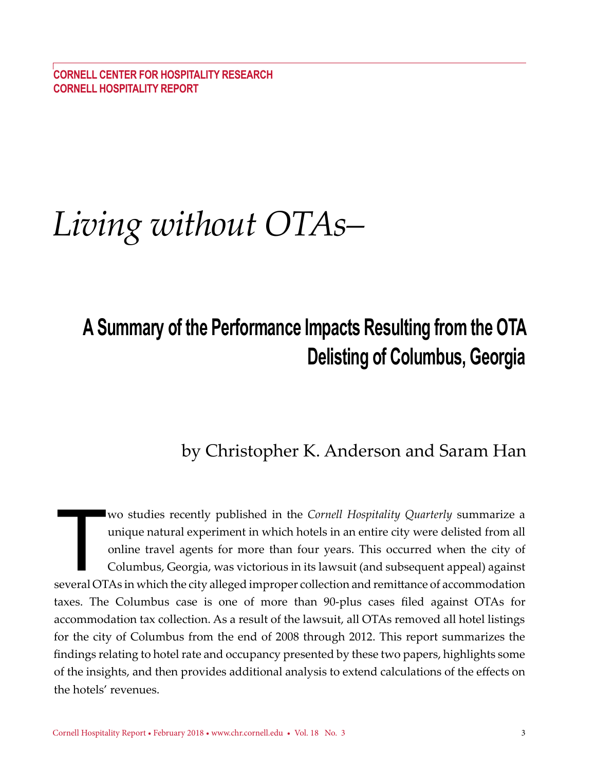**COrnell Center for hospitality research cornell hospitality report**

# *Living without OTAs–*

# **A Summary of the Performance Impacts Resulting from the OTA Delisting of Columbus, Georgia**

### by Christopher K. Anderson and Saram Han

Wo studies recently published in the *Cornell Hospitality Quarterly* summarize a unique natural experiment in which hotels in an entire city were delisted from all online travel agents for more than four years. This occurr wo studies recently published in the *Cornell Hospitality Quarterly* summarize a unique natural experiment in which hotels in an entire city were delisted from all online travel agents for more than four years. This occurred when the city of Columbus, Georgia, was victorious in its lawsuit (and subsequent appeal) against taxes. The Columbus case is one of more than 90-plus cases filed against OTAs for accommodation tax collection. As a result of the lawsuit, all OTAs removed all hotel listings for the city of Columbus from the end of 2008 through 2012. This report summarizes the findings relating to hotel rate and occupancy presented by these two papers, highlights some of the insights, and then provides additional analysis to extend calculations of the effects on the hotels' revenues.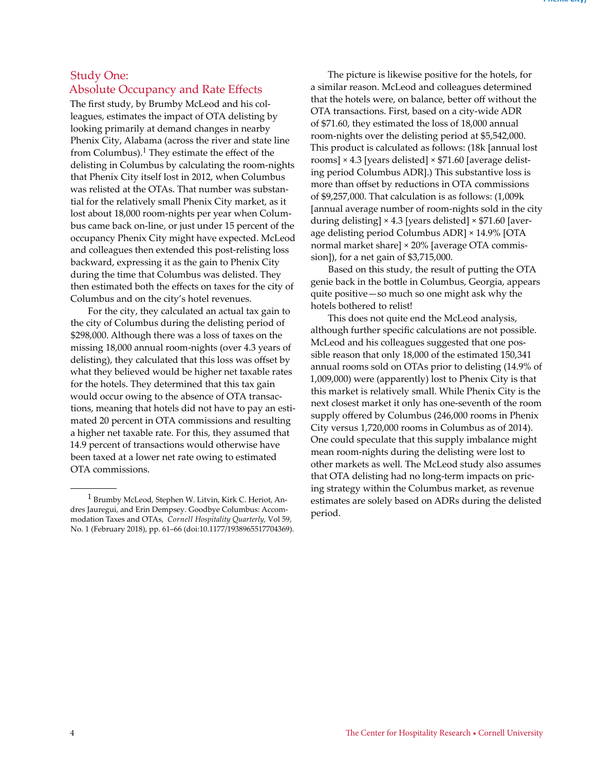#### Study One: Absolute Occupancy and Rate Effects

The first study, by Brumby McLeod and his colleagues, estimates the impact of OTA delisting by looking primarily at demand changes in nearby Phenix City, Alabama (across the river and state line from Columbus).<sup>1</sup> They estimate the effect of the delisting in Columbus by calculating the room-nights that Phenix City itself lost in 2012, when Columbus was relisted at the OTAs. That number was substantial for the relatively small Phenix City market, as it lost about 18,000 room-nights per year when Columbus came back on-line, or just under 15 percent of the occupancy Phenix City might have expected. McLeod and colleagues then extended this post-relisting loss backward, expressing it as the gain to Phenix City during the time that Columbus was delisted. They then estimated both the effects on taxes for the city of Columbus and on the city's hotel revenues.

For the city, they calculated an actual tax gain to the city of Columbus during the delisting period of \$298,000. Although there was a loss of taxes on the missing 18,000 annual room-nights (over 4.3 years of delisting), they calculated that this loss was offset by what they believed would be higher net taxable rates for the hotels. They determined that this tax gain would occur owing to the absence of OTA transactions, meaning that hotels did not have to pay an estimated 20 percent in OTA commissions and resulting a higher net taxable rate. For this, they assumed that 14.9 percent of transactions would otherwise have been taxed at a lower net rate owing to estimated OTA commissions.

The picture is likewise positive for the hotels, for a similar reason. McLeod and colleagues determined that the hotels were, on balance, better off without the OTA transactions. First, based on a city-wide ADR of \$71.60, they estimated the loss of 18,000 annual room-nights over the delisting period at \$5,542,000. This product is calculated as follows: (18k [annual lost rooms] × 4.3 [years delisted] × \$71.60 [average delisting period Columbus ADR].) This substantive loss is more than offset by reductions in OTA commissions of \$9,257,000. That calculation is as follows: (1,009k [annual average number of room-nights sold in the city during delisting]  $\times$  4.3 [years delisted]  $\times$  \$71.60 [average delisting period Columbus ADR] × 14.9% [OTA normal market share] × 20% [average OTA commission]), for a net gain of \$3,715,000.

Based on this study, the result of putting the OTA genie back in the bottle in Columbus, Georgia, appears quite positive—so much so one might ask why the hotels bothered to relist!

This does not quite end the McLeod analysis, although further specific calculations are not possible. McLeod and his colleagues suggested that one possible reason that only 18,000 of the estimated 150,341 annual rooms sold on OTAs prior to delisting (14.9% of 1,009,000) were (apparently) lost to Phenix City is that this market is relatively small. While Phenix City is the next closest market it only has one-seventh of the room supply offered by Columbus (246,000 rooms in Phenix City versus 1,720,000 rooms in Columbus as of 2014). One could speculate that this supply imbalance might mean room-nights during the delisting were lost to other markets as well. The McLeod study also assumes that OTA delisting had no long-term impacts on pricing strategy within the Columbus market, as revenue estimates are solely based on ADRs during the delisted period.

<sup>1</sup> Brumby McLeod, Stephen W. Litvin, Kirk C. Heriot, Andres Jauregui, and Erin Dempsey. Goodbye Columbus: Accommodation Taxes and OTAs, *Cornell Hospitality Quarterly,* Vol 59, No. 1 (February 2018), pp. 61–66 (doi:10.1177/1938965517704369).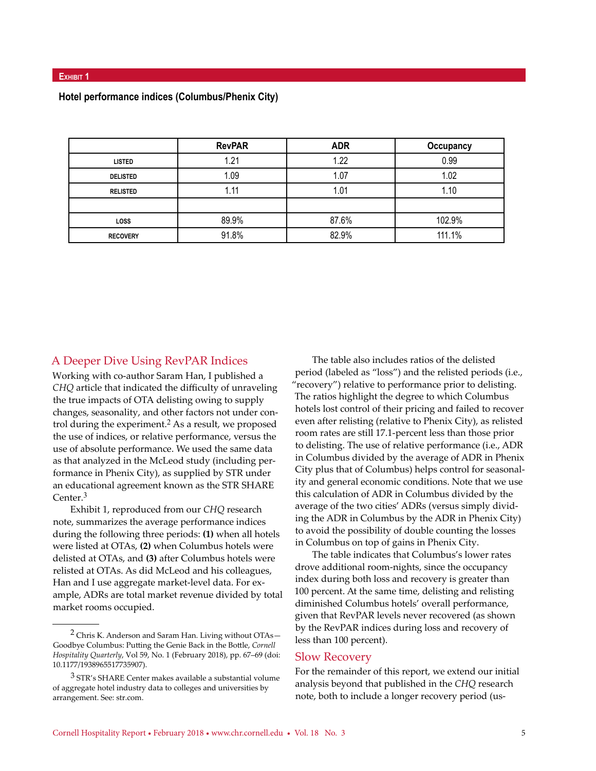|                 | <b>RevPAR</b> | <b>ADR</b> | Occupancy |
|-----------------|---------------|------------|-----------|
| <b>LISTED</b>   | 1.21          | 1.22       | 0.99      |
| <b>DELISTED</b> | 1.09          | 1.07       | 1.02      |
| <b>RELISTED</b> | 1.11          | 1.01       | 1.10      |
|                 |               |            |           |
| <b>LOSS</b>     | 89.9%         | 87.6%      | 102.9%    |
| <b>RECOVERY</b> | 91.8%         | 82.9%      | 111.1%    |

#### **Hotel performance indices (Columbus/Phenix City)**

#### A Deeper Dive Using RevPAR Indices

Working with co-author Saram Han, I published a *CHQ* article that indicated the difficulty of unraveling the true impacts of OTA delisting owing to supply changes, seasonality, and other factors not under control during the experiment.<sup>2</sup> As a result, we proposed the use of indices, or relative performance, versus the use of absolute performance. We used the same data as that analyzed in the McLeod study (including performance in Phenix City), as supplied by STR under an educational agreement known as the STR SHARE Center.3

Exhibit 1, reproduced from our *CHQ* research note, summarizes the average performance indices during the following three periods: **(1)** when all hotels were listed at OTAs, **(2)** when Columbus hotels were delisted at OTAs, and **(3)** after Columbus hotels were relisted at OTAs. As did McLeod and his colleagues, Han and I use aggregate market-level data. For example, ADRs are total market revenue divided by total market rooms occupied.

The table also includes ratios of the delisted period (labeled as "loss") and the relisted periods (i.e., "recovery") relative to performance prior to delisting. The ratios highlight the degree to which Columbus hotels lost control of their pricing and failed to recover even after relisting (relative to Phenix City), as relisted room rates are still 17.1-percent less than those prior to delisting. The use of relative performance (i.e., ADR in Columbus divided by the average of ADR in Phenix City plus that of Columbus) helps control for seasonality and general economic conditions. Note that we use this calculation of ADR in Columbus divided by the average of the two cities' ADRs (versus simply dividing the ADR in Columbus by the ADR in Phenix City) to avoid the possibility of double counting the losses in Columbus on top of gains in Phenix City.

The table indicates that Columbus's lower rates drove additional room-nights, since the occupancy index during both loss and recovery is greater than 100 percent. At the same time, delisting and relisting diminished Columbus hotels' overall performance, given that RevPAR levels never recovered (as shown by the RevPAR indices during loss and recovery of less than 100 percent).

#### Slow Recovery

For the remainder of this report, we extend our initial analysis beyond that published in the *CHQ* research note, both to include a longer recovery period (us-

<sup>&</sup>lt;sup>2</sup> Chris K. Anderson and Saram Han. Living without OTAs-Goodbye Columbus: Putting the Genie Back in the Bottle, *Cornell Hospitality Quarterly*, Vol 59, No. 1 (February 2018), pp. 67–69 (doi: 10.1177/1938965517735907).

 $3$  STR's SHARE Center makes available a substantial volume of aggregate hotel industry data to colleges and universities by arrangement. See: str.com.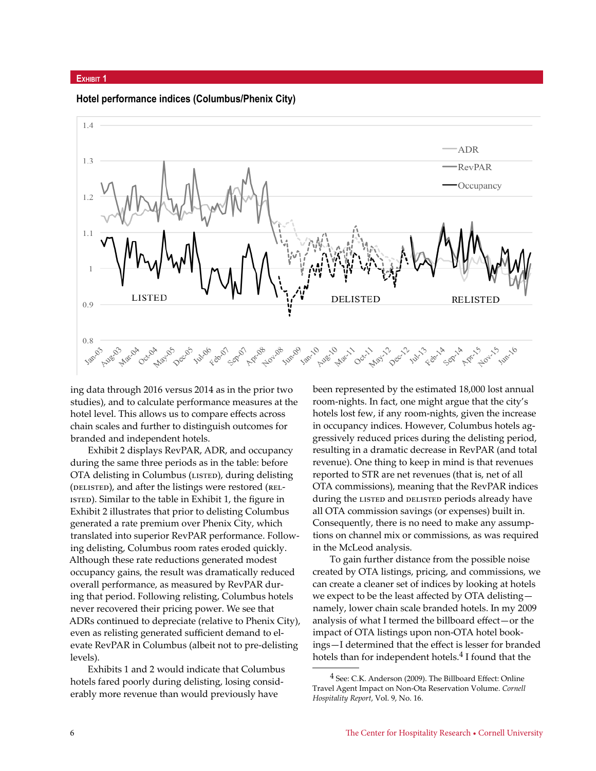#### **Exhibit 1**

**Hotel performance indices (Columbus/Phenix City)** 



ing data through 2016 versus 2014 as in the prior two studies), and to calculate performance measures at the hotel level. This allows us to compare effects across chain scales and further to distinguish outcomes for branded and independent hotels.

Exhibit 2 displays RevPAR, ADR, and occupancy during the same three periods as in the table: before OTA delisting in Columbus (LISTED), during delisting (DELISTED), and after the listings were restored (REL-ISTED). Similar to the table in Exhibit 1, the figure in Exhibit 2 illustrates that prior to delisting Columbus generated a rate premium over Phenix City, which translated into superior RevPAR performance. Following delisting, Columbus room rates eroded quickly. Although these rate reductions generated modest occupancy gains, the result was dramatically reduced overall performance, as measured by RevPAR during that period. Following relisting, Columbus hotels never recovered their pricing power. We see that ADRs continued to depreciate (relative to Phenix City), even as relisting generated sufficient demand to elevate RevPAR in Columbus (albeit not to pre-delisting levels).

Exhibits 1 and 2 would indicate that Columbus hotels fared poorly during delisting, losing considerably more revenue than would previously have

been represented by the estimated 18,000 lost annual room-nights. In fact, one might argue that the city's hotels lost few, if any room-nights, given the increase in occupancy indices. However, Columbus hotels aggressively reduced prices during the delisting period, resulting in a dramatic decrease in RevPAR (and total revenue). One thing to keep in mind is that revenues reported to STR are net revenues (that is, net of all OTA commissions), meaning that the RevPAR indices during the LISTED and DELISTED periods already have all OTA commission savings (or expenses) built in. Consequently, there is no need to make any assumptions on channel mix or commissions, as was required in the McLeod analysis.

To gain further distance from the possible noise created by OTA listings, pricing, and commissions, we can create a cleaner set of indices by looking at hotels we expect to be the least affected by OTA delisting namely, lower chain scale branded hotels. In my 2009 analysis of what I termed the billboard effect—or the impact of OTA listings upon non-OTA hotel bookings—I determined that the effect is lesser for branded hotels than for independent hotels.<sup>4</sup> I found that the

<sup>4</sup> See: C.K. Anderson (2009). The Billboard Effect: Online Travel Agent Impact on Non-Ota Reservation Volume. *Cornell Hospitality Report*, Vol. 9, No. 16.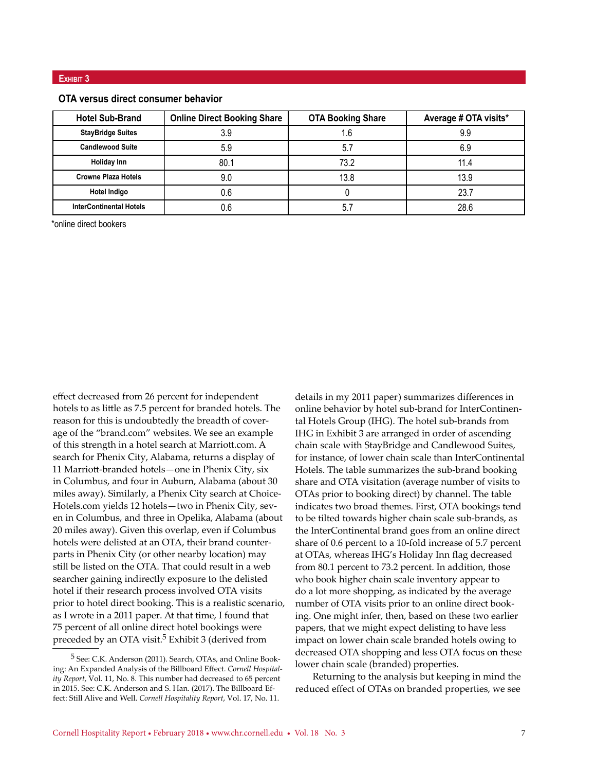#### **OTA versus direct consumer behavior**

| <b>Hotel Sub-Brand</b>         | <b>Online Direct Booking Share</b> | <b>OTA Booking Share</b> | Average # OTA visits* |
|--------------------------------|------------------------------------|--------------------------|-----------------------|
| <b>StayBridge Suites</b>       | 3.9                                | 1.6                      | 9.9                   |
| <b>Candlewood Suite</b>        | 5.9                                | 5.7                      | 6.9                   |
| <b>Holiday Inn</b>             | 80.1                               | 73.2                     | 11 4                  |
| <b>Crowne Plaza Hotels</b>     | 9.0                                | 13.8                     | 13.9                  |
| <b>Hotel Indigo</b>            | 0.6                                |                          | 23.7                  |
| <b>InterContinental Hotels</b> | 0.6                                | ხ.                       | 28.6                  |

\*online direct bookers

effect decreased from 26 percent for independent hotels to as little as 7.5 percent for branded hotels. The reason for this is undoubtedly the breadth of coverage of the "brand.com" websites. We see an example of this strength in a hotel search at Marriott.com. A search for Phenix City, Alabama, returns a display of 11 Marriott-branded hotels—one in Phenix City, six in Columbus, and four in Auburn, Alabama (about 30 miles away). Similarly, a Phenix City search at Choice-Hotels.com yields 12 hotels—two in Phenix City, seven in Columbus, and three in Opelika, Alabama (about 20 miles away). Given this overlap, even if Columbus hotels were delisted at an OTA, their brand counterparts in Phenix City (or other nearby location) may still be listed on the OTA. That could result in a web searcher gaining indirectly exposure to the delisted hotel if their research process involved OTA visits prior to hotel direct booking. This is a realistic scenario, as I wrote in a 2011 paper. At that time, I found that 75 percent of all online direct hotel bookings were preceded by an OTA visit.<sup>5</sup> Exhibit 3 (derived from

details in my 2011 paper) summarizes differences in online behavior by hotel sub-brand for InterContinental Hotels Group (IHG). The hotel sub-brands from IHG in Exhibit 3 are arranged in order of ascending chain scale with StayBridge and Candlewood Suites, for instance, of lower chain scale than InterContinental Hotels. The table summarizes the sub-brand booking share and OTA visitation (average number of visits to OTAs prior to booking direct) by channel. The table indicates two broad themes. First, OTA bookings tend to be tilted towards higher chain scale sub-brands, as the InterContinental brand goes from an online direct share of 0.6 percent to a 10-fold increase of 5.7 percent at OTAs, whereas IHG's Holiday Inn flag decreased from 80.1 percent to 73.2 percent. In addition, those who book higher chain scale inventory appear to do a lot more shopping, as indicated by the average number of OTA visits prior to an online direct booking. One might infer, then, based on these two earlier papers, that we might expect delisting to have less impact on lower chain scale branded hotels owing to decreased OTA shopping and less OTA focus on these lower chain scale (branded) properties.

Returning to the analysis but keeping in mind the reduced effect of OTAs on branded properties, we see

<sup>5</sup> See: C.K. Anderson (2011). Search, OTAs, and Online Booking: An Expanded Analysis of the Billboard Effect. *Cornell Hospitality Report*, Vol. 11, No. 8. This number had decreased to 65 percent in 2015. See: C.K. Anderson and S. Han. (2017). The Billboard Effect: Still Alive and Well. *Cornell Hospitality Report*, Vol. 17, No. 11.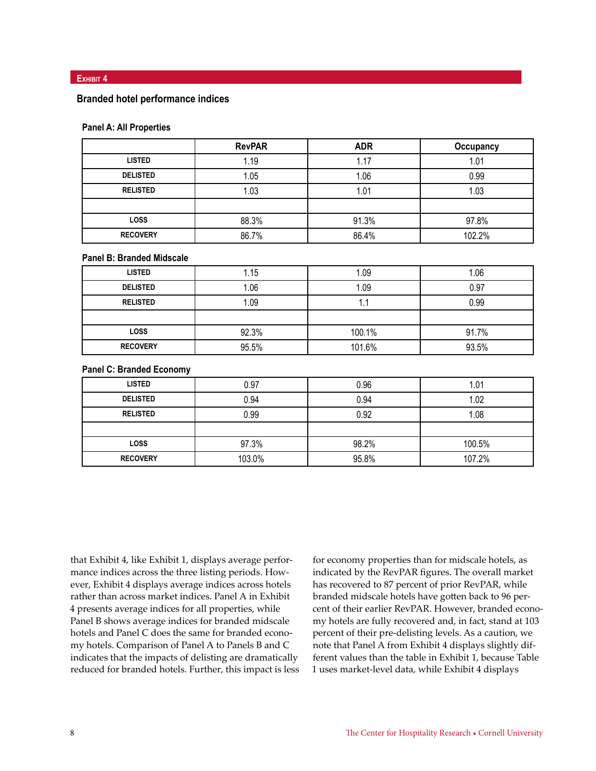#### **Exhibit 4**

#### **Branded hotel performance indices**

#### **Panel A: All Properties**

|                 | <b>RevPAR</b> | <b>ADR</b> | Occupancy |
|-----------------|---------------|------------|-----------|
| <b>LISTED</b>   | 1.19          | 1.17       | 1.01      |
| <b>DELISTED</b> | 1.05          | 1.06       | 0.99      |
| <b>RELISTED</b> | 1.03          | 1.01       | 1.03      |
|                 |               |            |           |
| <b>LOSS</b>     | 88.3%         | 91.3%      | 97.8%     |
| <b>RECOVERY</b> | 86.7%         | 86.4%      | 102.2%    |

#### **Panel B: Branded Midscale**

| <b>LISTED</b>   | 1.15  | 1.09   | 1.06  |
|-----------------|-------|--------|-------|
| <b>DELISTED</b> | 1.06  | 1.09   | 0.97  |
| <b>RELISTED</b> | 1.09  | ٠.     | 0.99  |
|                 |       |        |       |
| <b>LOSS</b>     | 92.3% | 100.1% | 91.7% |
| <b>RECOVERY</b> | 95.5% | 101.6% | 93.5% |

#### **Panel C: Branded Economy**

| <b>LISTED</b>   | 0.97   | 0.96  | 1.01   |
|-----------------|--------|-------|--------|
| <b>DELISTED</b> | 0.94   | 0.94  | 1.02   |
| <b>RELISTED</b> | 0.99   | 0.92  | 1.08   |
|                 |        |       |        |
| <b>LOSS</b>     | 97.3%  | 98.2% | 100.5% |
| <b>RECOVERY</b> | 103.0% | 95.8% | 107.2% |

that Exhibit 4, like Exhibit 1, displays average performance indices across the three listing periods. However, Exhibit 4 displays average indices across hotels rather than across market indices. Panel A in Exhibit 4 presents average indices for all properties, while Panel B shows average indices for branded midscale hotels and Panel C does the same for branded economy hotels. Comparison of Panel A to Panels B and C indicates that the impacts of delisting are dramatically reduced for branded hotels. Further, this impact is less

for economy properties than for midscale hotels, as indicated by the RevPAR figures. The overall market has recovered to 87 percent of prior RevPAR, while branded midscale hotels have gotten back to 96 percent of their earlier RevPAR. However, branded economy hotels are fully recovered and, in fact, stand at 103 percent of their pre-delisting levels. As a caution, we note that Panel A from Exhibit 4 displays slightly different values than the table in Exhibit 1, because Table 1 uses market-level data, while Exhibit 4 displays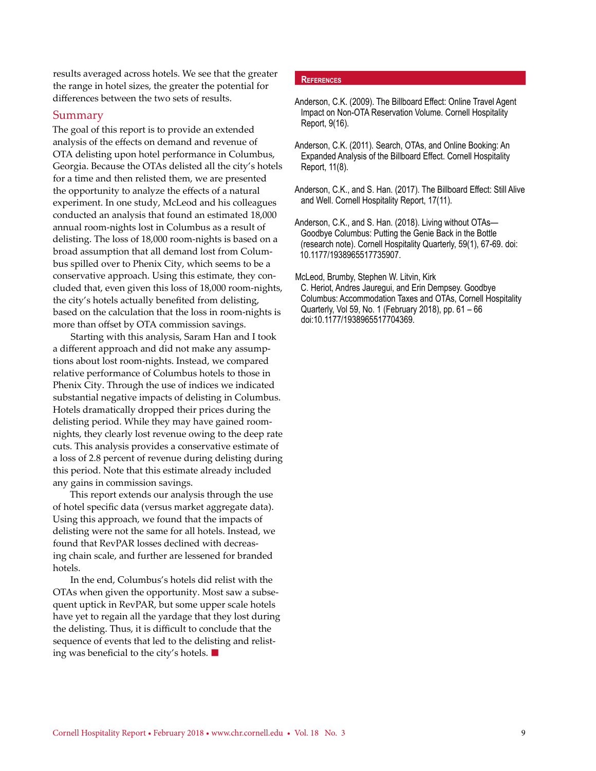results averaged across hotels. We see that the greater the range in hotel sizes, the greater the potential for differences between the two sets of results.

#### Summary

The goal of this report is to provide an extended analysis of the effects on demand and revenue of OTA delisting upon hotel performance in Columbus, Georgia. Because the OTAs delisted all the city's hotels for a time and then relisted them, we are presented the opportunity to analyze the effects of a natural experiment. In one study, McLeod and his colleagues conducted an analysis that found an estimated 18,000 annual room-nights lost in Columbus as a result of delisting. The loss of 18,000 room-nights is based on a broad assumption that all demand lost from Columbus spilled over to Phenix City, which seems to be a conservative approach. Using this estimate, they concluded that, even given this loss of 18,000 room-nights, the city's hotels actually benefited from delisting, based on the calculation that the loss in room-nights is more than offset by OTA commission savings.

Starting with this analysis, Saram Han and I took a different approach and did not make any assumptions about lost room-nights. Instead, we compared relative performance of Columbus hotels to those in Phenix City. Through the use of indices we indicated substantial negative impacts of delisting in Columbus. Hotels dramatically dropped their prices during the delisting period. While they may have gained roomnights, they clearly lost revenue owing to the deep rate cuts. This analysis provides a conservative estimate of a loss of 2.8 percent of revenue during delisting during this period. Note that this estimate already included any gains in commission savings.

This report extends our analysis through the use of hotel specific data (versus market aggregate data). Using this approach, we found that the impacts of delisting were not the same for all hotels. Instead, we found that RevPAR losses declined with decreasing chain scale, and further are lessened for branded hotels.

In the end, Columbus's hotels did relist with the OTAs when given the opportunity. Most saw a subsequent uptick in RevPAR, but some upper scale hotels have yet to regain all the yardage that they lost during the delisting. Thus, it is difficult to conclude that the sequence of events that led to the delisting and relisting was beneficial to the city's hotels.  $\blacksquare$ 

#### **References**

Anderson, C.K. (2009). The Billboard Effect: Online Travel Agent Impact on Non-OTA Reservation Volume. Cornell Hospitality Report, 9(16).

- Anderson, C.K. (2011). Search, OTAs, and Online Booking: An Expanded Analysis of the Billboard Effect. Cornell Hospitality Report, 11(8).
- Anderson, C.K., and S. Han. (2017). The Billboard Effect: Still Alive and Well. Cornell Hospitality Report, 17(11).

Anderson, C.K., and S. Han. (2018). Living without OTAs— Goodbye Columbus: Putting the Genie Back in the Bottle (research note). Cornell Hospitality Quarterly, 59(1), 67-69. doi: 10.1177/1938965517735907.

McLeod, Brumby, Stephen W. Litvin, Kirk

C. Heriot, Andres Jauregui, and Erin Dempsey. Goodbye Columbus: Accommodation Taxes and OTAs, Cornell Hospitality Quarterly, Vol 59, No. 1 (February 2018), pp. 61 – 66 doi:10.1177/1938965517704369.